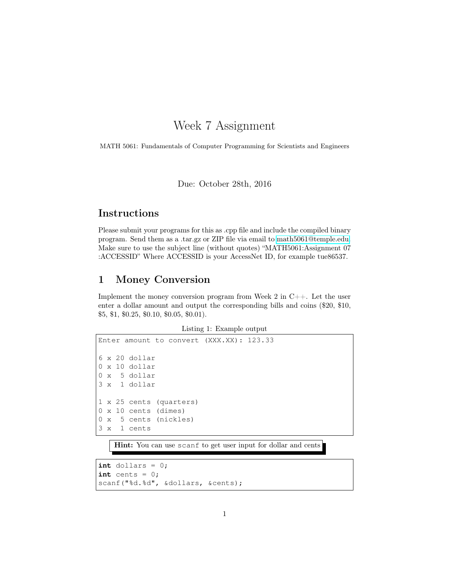# Week 7 Assignment

MATH 5061: Fundamentals of Computer Programming for Scientists and Engineers

Due: October 28th, 2016

#### Instructions

Please submit your programs for this as .cpp file and include the compiled binary program. Send them as a .tar.gz or ZIP file via email to [math5061@temple.edu.](mailto:math5061@temple.edu) Make sure to use the subject line (without quotes) "MATH5061:Assignment 07 :ACCESSID" Where ACCESSID is your AccessNet ID, for example tue86537.

#### 1 Money Conversion

Implement the money conversion program from Week 2 in C++. Let the user enter a dollar amount and output the corresponding bills and coins (\$20, \$10, \$5, \$1, \$0.25, \$0.10, \$0.05, \$0.01).

Listing 1: Example output

```
Enter amount to convert (XXX.XX): 123.33
6 x 20 dollar
0 x 10 dollar
0 x 5 dollar
3 x 1 dollar
1 x 25 cents (quarters)
0 x 10 cents (dimes)
0 x 5 cents (nickles)
3 x 1 cents
```
Hint: You can use scanf to get user input for dollar and cents

```
int dollars = 0;
int \; \text{cents} = 0;scanf("%d.%d", &dollars, &cents);
```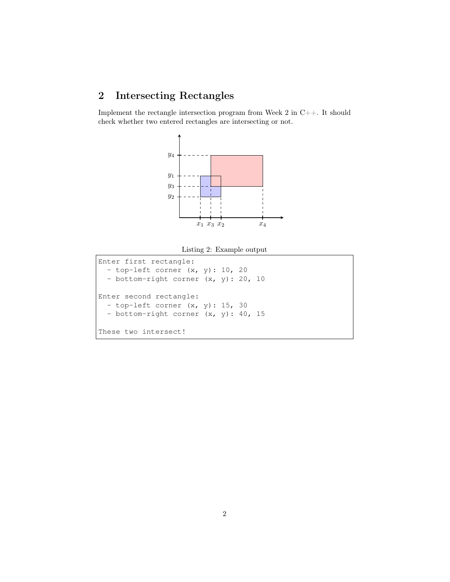## 2 Intersecting Rectangles

Implement the rectangle intersection program from Week 2 in C++. It should check whether two entered rectangles are intersecting or not.



Listing 2: Example output

```
Enter first rectangle:
  - top-left corner (x, y): 10, 20
  - bottom-right corner (x, y): 20, 10
Enter second rectangle:
 - top-left corner (x, y): 15, 30
  - bottom-right corner (x, y): 40, 15
These two intersect!
```